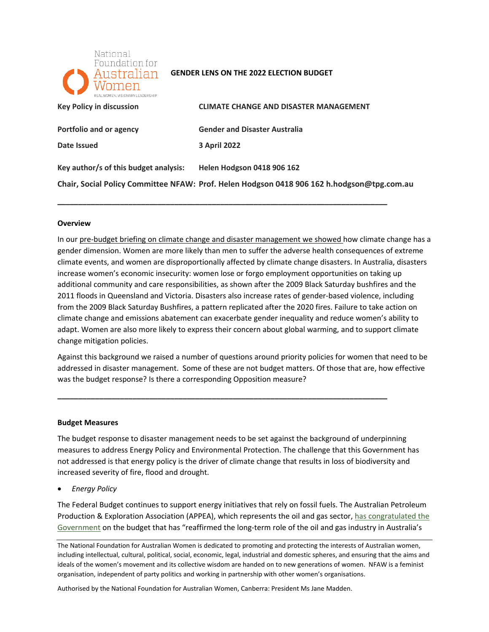

#### **GENDER LENS ON THE 2022 ELECTION BUDGET**

| REALWOMEN VISIONARYLEADERSHIP         |                                                                                            |
|---------------------------------------|--------------------------------------------------------------------------------------------|
| <b>Key Policy in discussion</b>       | <b>CLIMATE CHANGE AND DISASTER MANAGEMENT</b>                                              |
| Portfolio and or agency               | <b>Gender and Disaster Australia</b>                                                       |
| Date Issued                           | <b>3 April 2022</b>                                                                        |
| Key author/s of this budget analysis: | <b>Helen Hodgson 0418 906 162</b>                                                          |
|                                       | Chair, Social Policy Committee NFAW: Prof. Helen Hodgson 0418 906 162 h.hodgson@tpg.com.au |

**\_\_\_\_\_\_\_\_\_\_\_\_\_\_\_\_\_\_\_\_\_\_\_\_\_\_\_\_\_\_\_\_\_\_\_\_\_\_\_\_\_\_\_\_\_\_\_\_\_\_\_\_\_\_\_\_\_\_\_\_\_\_\_\_\_\_\_\_\_\_\_\_\_\_\_\_\_\_\_** 

#### **Overview**

In our pre-budget briefing on climate change and disaster management we showed how climate change has a gender dimension. Women are more likely than men to suffer the adverse health consequences of extreme increase women's economic insecurity: women lose or forgo employment opportunities on taking up additional community and care responsibilities, as shown after the 2009 Black Saturday bushfires and the 2011 floods in Queensland and Victoria. Disasters also increase rates of gender-based violence, including from the 2009 Black Saturday Bushfires, a pattern replicated after the 2020 fires. Failure to take action on climate change and emissions abatement can exacerbate gender inequality and reduce women's ability to climate events, and women are disproportionally affected by climate change disasters. In Australia, disasters adapt. Women are also more likely to express their concern about global warming, and to support climate change mitigation policies.

 Against this background we raised a number of questions around priority policies for women that need to be addressed in disaster management. Some of these are not budget matters. Of those that are, how effective was the budget response? Is there a corresponding Opposition measure?

**\_\_\_\_\_\_\_\_\_\_\_\_\_\_\_\_\_\_\_\_\_\_\_\_\_\_\_\_\_\_\_\_\_\_\_\_\_\_\_\_\_\_\_\_\_\_\_\_\_\_\_\_\_\_\_\_\_\_\_\_\_\_\_\_\_\_\_\_\_\_\_\_\_\_\_\_\_\_\_** 

#### **Budget Measures**

 The budget response to disaster management needs to be set against the background of underpinning measures to address Energy Policy and Environmental Protection. The challenge that this Government has not addressed is that energy policy is the driver of climate change that results in loss of biodiversity and increased severity of fire, flood and drought.

• *Energy Policy* 

 The Federal Budget continues to support energy initiatives that rely on fossil fuels. The Australian Petroleum Production & Exploration Association (APPEA), which represents the oil and gas sector, has congratulated the [Government](https://www.appea.com.au/all_news/media-release-federal-budget-confirms-gas-central-to-the-economy-and-emissions-reduction/) on the budget that has "reaffirmed the long-term role of the oil and gas industry in Australia's

Authorised by the National Foundation for Australian Women, Canberra: President Ms Jane Madden.

The National Foundation for Australian Women is dedicated to promoting and protecting the interests of Australian women, including intellectual, cultural, political, social, economic, legal, industrial and domestic spheres, and ensuring that the aims and ideals of the women's movement and its collective wisdom are handed on to new generations of women. NFAW is a feminist organisation, independent of party politics and working in partnership with other women's organisations.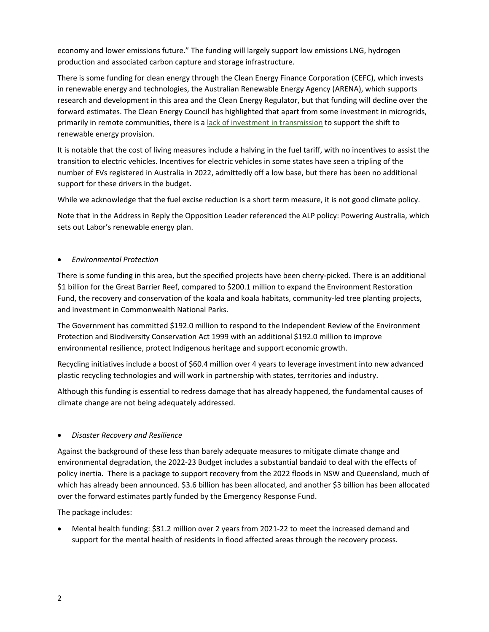economy and lower emissions future." The funding will largely support low emissions LNG, hydrogen production and associated carbon capture and storage infrastructure.

 There is some funding for clean energy through the Clean Energy Finance Corporation (CEFC), which invests in renewable energy and technologies, the Australian Renewable Energy Agency (ARENA), which supports research and development in this area and the Clean Energy Regulator, but that funding will decline over the forward estimates. The Clean Energy Council has highlighted that apart from some investment in microgrids, primarily in remote communities, there is a [lack of investment in transmission t](https://www.cleanenergycouncil.org.au/news/federal-budget-fails-to-prioritise-rapid-transition-to-renewable-energy)o support the shift to renewable energy provision.

 It is notable that the cost of living measures include a halving in the fuel tariff, with no incentives to assist the transition to electric vehicles. Incentives for electric vehicles in some states have seen a tripling of the number of EVs registered in Australia in 2022, admittedly off a low base, but there has been no additional support for these drivers in the budget.

While we acknowledge that the fuel excise reduction is a short term measure, it is not good climate policy.

 Note that in the Address in Reply the Opposition Leader referenced the ALP policy: Powering Australia, which sets out Labor's renewable energy plan.

## • *Environmental Protection*

 Fund, the recovery and conservation of the koala and koala habitats, community-led tree planting projects, and investment in Commonwealth National Parks. There is some funding in this area, but the specified projects have been cherry-picked. There is an additional \$1 billion for the Great Barrier Reef, compared to \$200.1 million to expand the Environment Restoration

and investment in Commonwealth National Parks.<br>The Government has committed \$192.0 million to respond to the Independent Review of the Environment Protection and Biodiversity Conservation Act 1999 with an additional \$192.0 million to improve environmental resilience, protect Indigenous heritage and support economic growth.

 Recycling initiatives include a boost of \$60.4 million over 4 years to leverage investment into new advanced plastic recycling technologies and will work in partnership with states, territories and industry.

 Although this funding is essential to redress damage that has already happened, the fundamental causes of climate change are not being adequately addressed.

## • *Disaster Recovery and Resilience*

 Against the background of these less than barely adequate measures to mitigate climate change and environmental degradation, the 2022-23 Budget includes a substantial bandaid to deal with the effects of policy inertia. There is a package to support recovery from the 2022 floods in NSW and Queensland, much of which has already been announced. \$3.6 billion has been allocated, and another \$3 billion has been allocated over the forward estimates partly funded by the Emergency Response Fund.

The package includes:

 • Mental health funding: \$31.2 million over 2 years from 2021-22 to meet the increased demand and support for the mental health of residents in flood affected areas through the recovery process.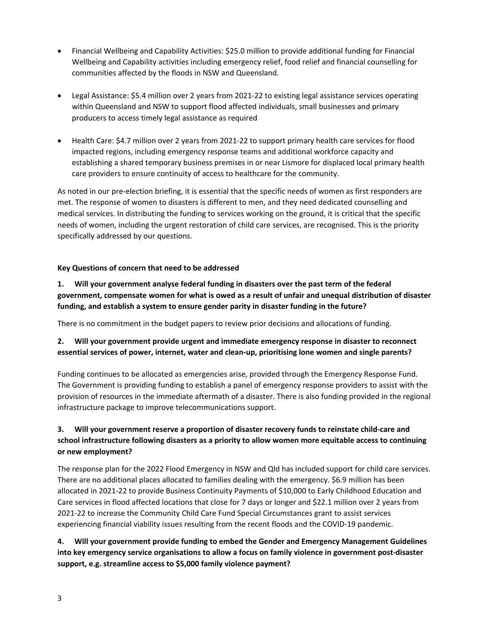- • Financial Wellbeing and Capability Activities: \$25.0 million to provide additional funding for Financial Wellbeing and Capability activities including emergency relief, food relief and financial counselling for communities affected by the floods in NSW and Queensland.
- • Legal Assistance: \$5.4 million over 2 years from 2021-22 to existing legal assistance services operating within Queensland and NSW to support flood affected individuals, small businesses and primary producers to access timely legal assistance as required
- • Health Care: \$4.7 million over 2 years from 2021-22 to support primary health care services for flood impacted regions, including emergency response teams and additional workforce capacity and care providers to ensure continuity of access to healthcare for the community. establishing a shared temporary business premises in or near Lismore for displaced local primary health

 As noted in our pre-election briefing, it is essential that the specific needs of women as first responders are met. The response of women to disasters is different to men, and they need dedicated counselling and medical services. In distributing the funding to services working on the ground, it is critical that the specific needs of women, including the urgent restoration of child care services, are recognised. This is the priority specifically addressed by our questions.

## **Key Questions of concern that need to be addressed**

 **1. Will your government analyse federal funding in disasters over the past term of the federal government, compensate women for what is owed as a result of unfair and unequal distribution of disaster funding, and establish a system to ensure gender parity in disaster funding in the future?** 

There is no commitment in the budget papers to review prior decisions and allocations of funding.

## **2. Will your government provide urgent and immediate emergency response in disaster to reconnect essential services of power, internet, water and clean-up, prioritising lone women and single parents?**

 Funding continues to be allocated as emergencies arise, provided through the Emergency Response Fund. The Government is providing funding to establish a panel of emergency response providers to assist with the provision of resources in the immediate aftermath of a disaster. There is also funding provided in the regional infrastructure package to improve telecommunications support.

# **3. Will your government reserve a proportion of disaster recovery funds to reinstate child-care and school infrastructure following disasters as a priority to allow women more equitable access to continuing or new employment?**

 The response plan for the 2022 Flood Emergency in NSW and Qld has included support for child care services. There are no additional places allocated to families dealing with the emergency. \$6.9 million has been allocated in 2021-22 to provide Business Continuity Payments of \$10,000 to Early Childhood Education and Care services in flood affected locations that close for 7 days or longer and \$22.1 million over 2 years from 2021-22 to increase the Community Child Care Fund Special Circumstances grant to assist services experiencing financial viability issues resulting from the recent floods and the COVID-19 pandemic.

 **support, e.g. streamline access to \$5,000 family violence payment? 4. Will your government provide funding to embed the Gender and Emergency Management Guidelines into key emergency service organisations to allow a focus on family violence in government post-disaster**